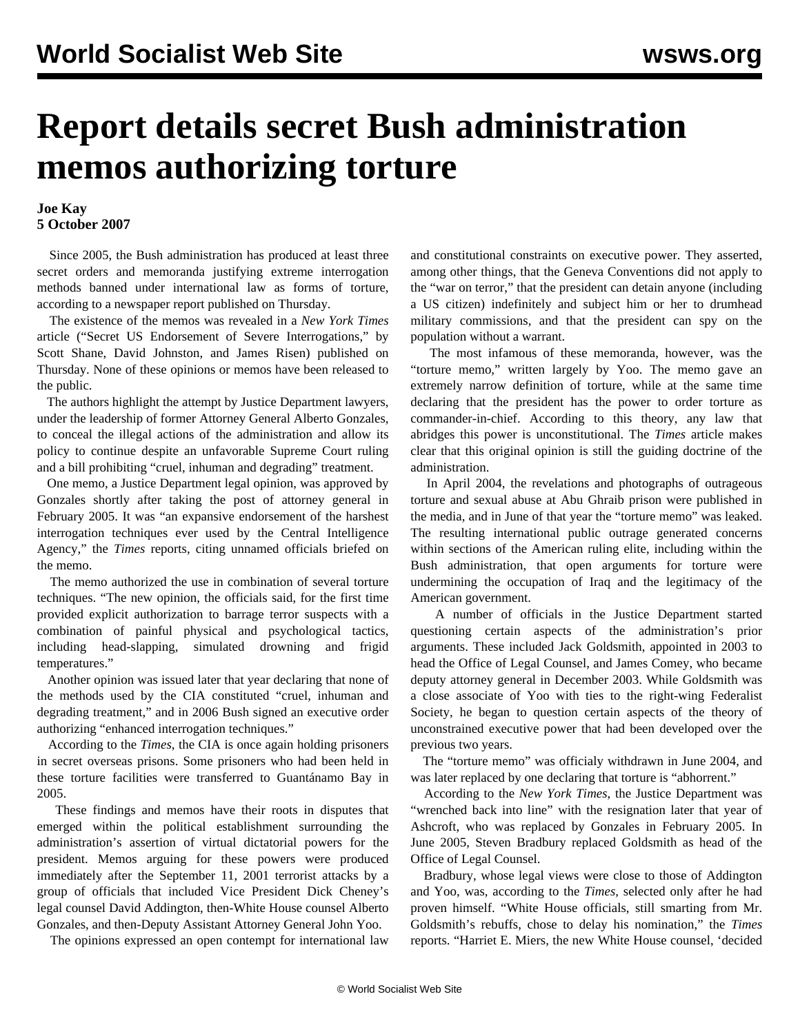## **Report details secret Bush administration memos authorizing torture**

## **Joe Kay 5 October 2007**

 Since 2005, the Bush administration has produced at least three secret orders and memoranda justifying extreme interrogation methods banned under international law as forms of torture, according to a newspaper report published on Thursday.

 The existence of the memos was revealed in a *New York Times* article ("Secret US Endorsement of Severe Interrogations," by Scott Shane, David Johnston, and James Risen) published on Thursday. None of these opinions or memos have been released to the public.

 The authors highlight the attempt by Justice Department lawyers, under the leadership of former Attorney General Alberto Gonzales, to conceal the illegal actions of the administration and allow its policy to continue despite an unfavorable Supreme Court ruling and a bill prohibiting "cruel, inhuman and degrading" treatment.

 One memo, a Justice Department legal opinion, was approved by Gonzales shortly after taking the post of attorney general in February 2005. It was "an expansive endorsement of the harshest interrogation techniques ever used by the Central Intelligence Agency," the *Times* reports, citing unnamed officials briefed on the memo.

 The memo authorized the use in combination of several torture techniques. "The new opinion, the officials said, for the first time provided explicit authorization to barrage terror suspects with a combination of painful physical and psychological tactics, including head-slapping, simulated drowning and frigid temperatures."

 Another opinion was issued later that year declaring that none of the methods used by the CIA constituted "cruel, inhuman and degrading treatment," and in 2006 Bush signed an executive order authorizing "enhanced interrogation techniques."

 According to the *Times*, the CIA is once again holding prisoners in secret overseas prisons. Some prisoners who had been held in these torture facilities were transferred to Guantánamo Bay in 2005.

 These findings and memos have their roots in disputes that emerged within the political establishment surrounding the administration's assertion of virtual dictatorial powers for the president. Memos arguing for these powers were produced immediately after the September 11, 2001 terrorist attacks by a group of officials that included Vice President Dick Cheney's legal counsel David Addington, then-White House counsel Alberto Gonzales, and then-Deputy Assistant Attorney General John Yoo.

The opinions expressed an open contempt for international law

and constitutional constraints on executive power. They asserted, among other things, that the Geneva Conventions did not apply to the "war on terror," that the president can detain anyone (including a US citizen) indefinitely and subject him or her to drumhead military commissions, and that the president can spy on the population without a warrant.

 The most infamous of these memoranda, however, was the "torture memo," written largely by Yoo. The memo gave an extremely narrow definition of torture, while at the same time declaring that the president has the power to order torture as commander-in-chief. According to this theory, any law that abridges this power is unconstitutional. The *Times* article makes clear that this original opinion is still the guiding doctrine of the administration.

 In April 2004, the revelations and photographs of outrageous torture and sexual abuse at Abu Ghraib prison were published in the media, and in June of that year the "torture memo" was leaked. The resulting international public outrage generated concerns within sections of the American ruling elite, including within the Bush administration, that open arguments for torture were undermining the occupation of Iraq and the legitimacy of the American government.

 A number of officials in the Justice Department started questioning certain aspects of the administration's prior arguments. These included Jack Goldsmith, appointed in 2003 to head the Office of Legal Counsel, and James Comey, who became deputy attorney general in December 2003. While Goldsmith was a close associate of Yoo with ties to the right-wing Federalist Society, he began to question certain aspects of the theory of unconstrained executive power that had been developed over the previous two years.

 The "torture memo" was officialy withdrawn in June 2004, and was later replaced by one declaring that torture is "abhorrent."

 According to the *New York Times*, the Justice Department was "wrenched back into line" with the resignation later that year of Ashcroft, who was replaced by Gonzales in February 2005. In June 2005, Steven Bradbury replaced Goldsmith as head of the Office of Legal Counsel.

 Bradbury, whose legal views were close to those of Addington and Yoo, was, according to the *Times,* selected only after he had proven himself. "White House officials, still smarting from Mr. Goldsmith's rebuffs, chose to delay his nomination," the *Times* reports. "Harriet E. Miers, the new White House counsel, 'decided